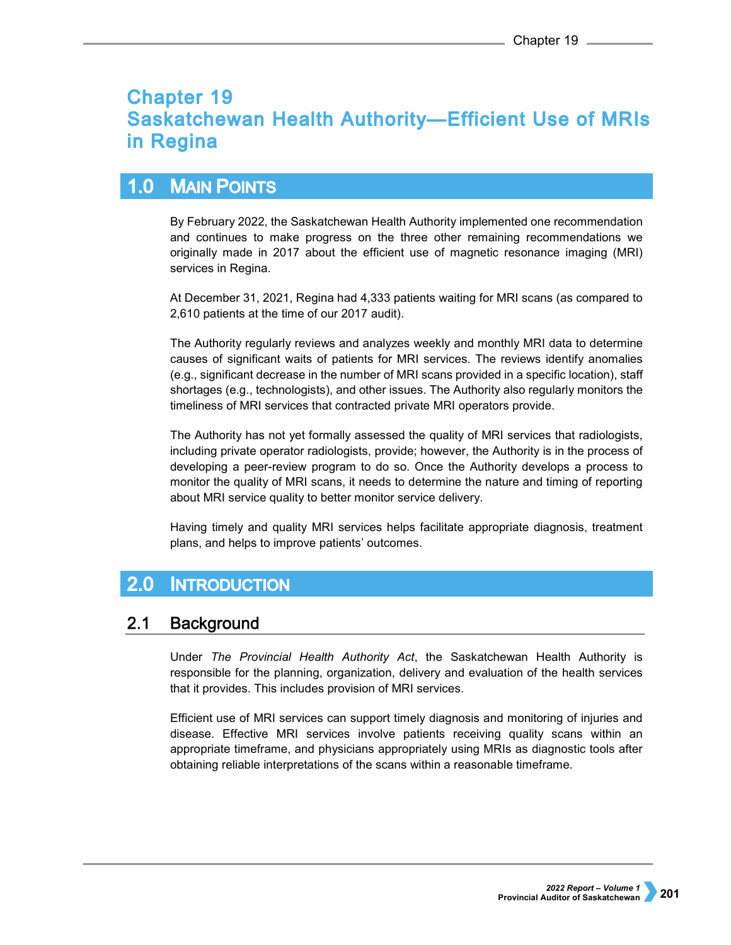# **Chapter 19 Saskatchewan Health Authority-Efficient Use of MRIs** in Regina

#### $1.0$ **MAIN POINTS**

By February 2022, the Saskatchewan Health Authority implemented one recommendation and continues to make progress on the three other remaining recommendations we originally made in 2017 about the efficient use of magnetic resonance imaging (MRI) services in Regina.

At December 31, 2021, Regina had 4,333 patients waiting for MRI scans (as compared to 2,610 patients at the time of our 2017 audit).

The Authority regularly reviews and analyzes weekly and monthly MRI data to determine causes of significant waits of patients for MRI services. The reviews identify anomalies (e.g., significant decrease in the number of MRI scans provided in a specific location), staff shortages (e.g., technologists), and other issues. The Authority also regularly monitors the timeliness of MRI services that contracted private MRI operators provide.

The Authority has not yet formally assessed the quality of MRI services that radiologists, including private operator radiologists, provide; however, the Authority is in the process of developing a peer-review program to do so. Once the Authority develops a process to monitor the quality of MRI scans, it needs to determine the nature and timing of reporting about MRI service quality to better monitor service delivery.

Having timely and quality MRI services helps facilitate appropriate diagnosis, treatment plans, and helps to improve patients' outcomes.

#### $2.0$ **INTRODUCTION**

#### $2.1$ **Background**

Under *The Provincial Health Authority Act*, the Saskatchewan Health Authority is responsible for the planning, organization, delivery and evaluation of the health services that it provides. This includes provision of MRI services.

Efficient use of MRI services can support timely diagnosis and monitoring of injuries and disease. Effective MRI services involve patients receiving quality scans within an appropriate timeframe, and physicians appropriately using MRIs as diagnostic tools after obtaining reliable interpretations of the scans within a reasonable timeframe.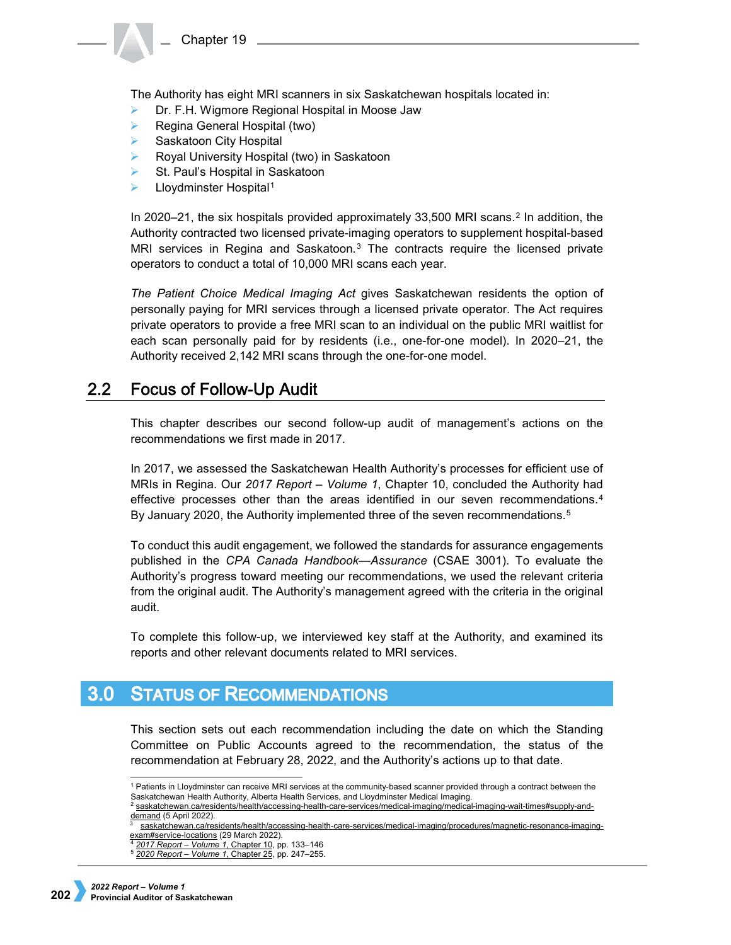

The Authority has eight MRI scanners in six Saskatchewan hospitals located in:

- Dr. F.H. Wigmore Regional Hospital in Moose Jaw
- Regina General Hospital (two)
- **▶ Saskatoon City Hospital**
- $\triangleright$  Royal University Hospital (two) in Saskatoon
- St. Paul's Hospital in Saskatoon
- Lloydminster Hospital<sup>[1](#page-1-0)</sup>

In 2020–21, the six hospitals provided approximately 33,500 MRI scans.[2](#page-1-1) In addition, the Authority contracted two licensed private-imaging operators to supplement hospital-based MRI services in Regina and Saskatoon. $3$  The contracts require the licensed private operators to conduct a total of 10,000 MRI scans each year.

*The Patient Choice Medical Imaging Act* gives Saskatchewan residents the option of personally paying for MRI services through a licensed private operator. The Act requires private operators to provide a free MRI scan to an individual on the public MRI waitlist for each scan personally paid for by residents (i.e., one-for-one model). In 2020–21, the Authority received 2,142 MRI scans through the one-for-one model.

#### **Focus of Follow-Up Audit**  $2.2$

This chapter describes our second follow-up audit of management's actions on the recommendations we first made in 2017.

In 2017, we assessed the Saskatchewan Health Authority's processes for efficient use of MRIs in Regina. Our *2017 Report – Volume 1*, Chapter 10, concluded the Authority had effective processes other than the areas identified in our seven recommendations.[4](#page-1-3) By January 2020, the Authority implemented three of the seven recommendations.<sup>[5](#page-1-4)</sup>

To conduct this audit engagement, we followed the standards for assurance engagements published in the *CPA Canada Handbook—Assurance* (CSAE 3001). To evaluate the Authority's progress toward meeting our recommendations, we used the relevant criteria from the original audit. The Authority's management agreed with the criteria in the original audit.

To complete this follow-up, we interviewed key staff at the Authority, and examined its reports and other relevant documents related to MRI services.

## <span id="page-1-0"></span>**3.0 STATUS OF RECOMMENDATIONS**

This section sets out each recommendation including the date on which the Standing Committee on Public Accounts agreed to the recommendation, the status of the recommendation at February 28, 2022, and the Authority's actions up to that date.

 <sup>1</sup> Patients in Lloydminster can receive MRI services at the community-based scanner provided through a contract between the Saskatchewan Health Authority, Alberta Health Services, and Lloydminster Medical Imaging.

<span id="page-1-1"></span><sup>2</sup> [saskatchewan.ca/residents/health/accessing-health-care-services/medical-imaging/medical-imaging-wait-times#supply-and](http://www.saskatchewan.ca/residents/health/accessing-health-care-services/medical-imaging/medical-imaging-wait-times#supply-and-demand)[demand](http://www.saskatchewan.ca/residents/health/accessing-health-care-services/medical-imaging/medical-imaging-wait-times#supply-and-demand) (5 April 2022).

<span id="page-1-3"></span><span id="page-1-2"></span>[saskatchewan.ca/residents/health/accessing-health-care-services/medical-imaging/procedures/magnetic-resonance-imaging](http://www.saskatchewan.ca/residents/health/accessing-health-care-services/medical-imaging/procedures/magnetic-resonance-imaging-exam#service-locations)[exam#service-locations](http://www.saskatchewan.ca/residents/health/accessing-health-care-services/medical-imaging/procedures/magnetic-resonance-imaging-exam#service-locations) (29 March 2022).<br>4 2017 Report – Volume 1, Chapter 10, pp. 133–146

<span id="page-1-4"></span><sup>4</sup> *2017 Report – Volume 1*[, Chapter 10,](https://auditor.sk.ca/pub/publications/public_reports/2017/Volume_1/10_RQRHA%20_MRI.pdf) pp. 133–146 5 *2020 Report – Volume 1*, Chapter 25, pp. 247–255.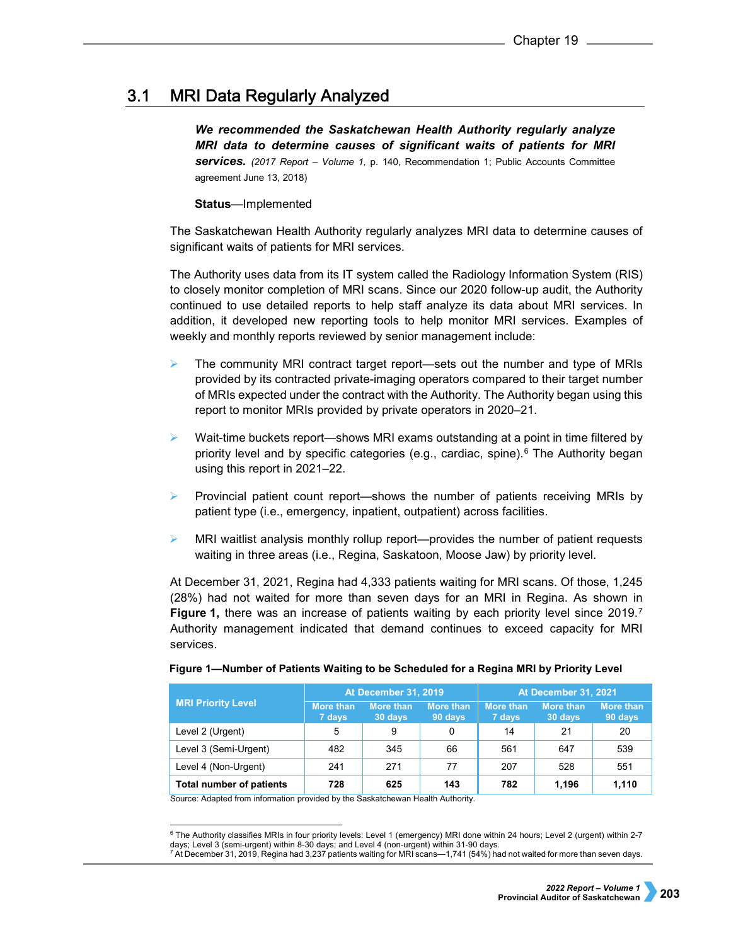#### $3.1$ **MRI Data Regularly Analyzed**

*We recommended the Saskatchewan Health Authority regularly analyze MRI data to determine causes of significant waits of patients for MRI services. (2017 Report – Volume 1,* p. 140, Recommendation 1; Public Accounts Committee agreement June 13, 2018)

## **Status***—*Implemented

The Saskatchewan Health Authority regularly analyzes MRI data to determine causes of significant waits of patients for MRI services.

The Authority uses data from its IT system called the Radiology Information System (RIS) to closely monitor completion of MRI scans. Since our 2020 follow-up audit, the Authority continued to use detailed reports to help staff analyze its data about MRI services. In addition, it developed new reporting tools to help monitor MRI services. Examples of weekly and monthly reports reviewed by senior management include:

- $\triangleright$  The community MRI contract target report—sets out the number and type of MRIs provided by its contracted private-imaging operators compared to their target number of MRIs expected under the contract with the Authority. The Authority began using this report to monitor MRIs provided by private operators in 2020–21.
- $\triangleright$  Wait-time buckets report—shows MRI exams outstanding at a point in time filtered by priority level and by specific categories (e.g., cardiac, spine).<sup>[6](#page-2-0)</sup> The Authority began using this report in 2021–22.
- Provincial patient count report—shows the number of patients receiving MRIs by patient type (i.e., emergency, inpatient, outpatient) across facilities.
- MRI waitlist analysis monthly rollup report—provides the number of patient requests waiting in three areas (i.e., Regina, Saskatoon, Moose Jaw) by priority level.

At December 31, 2021, Regina had 4,333 patients waiting for MRI scans. Of those, 1,245 (28%) had not waited for more than seven days for an MRI in Regina. As shown in **Figure 1,** there was an increase of patients waiting by each priority level since 2019.<sup>[7](#page-2-1)</sup> Authority management indicated that demand continues to exceed capacity for MRI services.

| <b>MRI Priority Level</b>       | <b>At December 31, 2019</b> |                             |                      | At December 31, 2021       |                             |                             |
|---------------------------------|-----------------------------|-----------------------------|----------------------|----------------------------|-----------------------------|-----------------------------|
|                                 | <b>More than</b><br>7 days  | <b>More than</b><br>30 days | More than<br>90 days | <b>More than</b><br>7 days | <b>More than</b><br>30 days | <b>More than</b><br>90 days |
| Level 2 (Urgent)                | 5                           | 9                           | 0                    | 14                         | 21                          | 20                          |
| Level 3 (Semi-Urgent)           | 482                         | 345                         | 66                   | 561                        | 647                         | 539                         |
| Level 4 (Non-Urgent)            | 241                         | 271                         | 77                   | 207                        | 528                         | 551                         |
| <b>Total number of patients</b> | 728                         | 625                         | 143                  | 782                        | 1.196                       | 1,110                       |

## **Figure 1—Number of Patients Waiting to be Scheduled for a Regina MRI by Priority Level**

Source: Adapted from information provided by the Saskatchewan Health Authority.

<span id="page-2-1"></span><span id="page-2-0"></span> $\overline{\phantom{a}}$  The Authority classifies MRIs in four priority levels: Level 1 (emergency) MRI done within 24 hours; Level 2 (urgent) within 2-7  $\overline{\phantom{a}}$ days; Level 3 (semi-urgent) within 8-30 days; and Level 4 (non-urgent) within 31-90 days.<br><sup>7</sup> At December 31, 2019, Regina had 3,237 patients waiting for MRI scans—1,741 (54%) had not waited for more than seven days.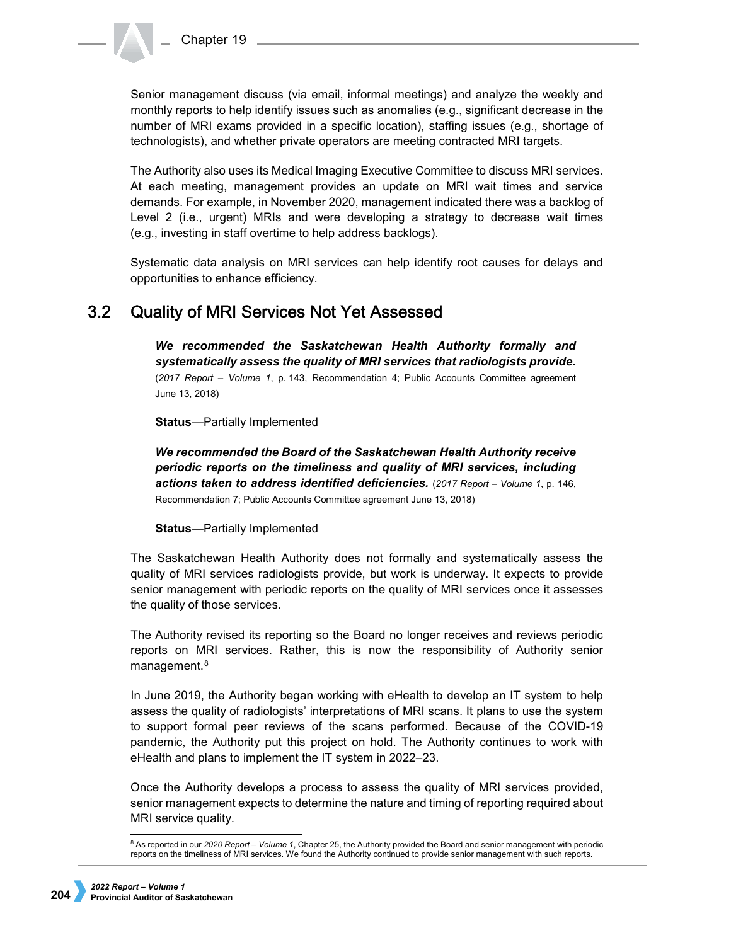Senior management discuss (via email, informal meetings) and analyze the weekly and monthly reports to help identify issues such as anomalies (e.g., significant decrease in the number of MRI exams provided in a specific location), staffing issues (e.g., shortage of technologists), and whether private operators are meeting contracted MRI targets.

The Authority also uses its Medical Imaging Executive Committee to discuss MRI services. At each meeting, management provides an update on MRI wait times and service demands. For example, in November 2020, management indicated there was a backlog of Level 2 (i.e., urgent) MRIs and were developing a strategy to decrease wait times (e.g., investing in staff overtime to help address backlogs).

Systematic data analysis on MRI services can help identify root causes for delays and opportunities to enhance efficiency.

#### **Quality of MRI Services Not Yet Assessed**  $3.2<sub>2</sub>$

*We recommended the Saskatchewan Health Authority formally and systematically assess the quality of MRI services that radiologists provide.*  (*2017 Report – Volume 1*, p. 143, Recommendation 4; Public Accounts Committee agreement June 13, 2018)

**Status**—Partially Implemented

*We recommended the Board of the Saskatchewan Health Authority receive periodic reports on the timeliness and quality of MRI services, including actions taken to address identified deficiencies.* (*2017 Report – Volume 1*, p. 146, Recommendation 7; Public Accounts Committee agreement June 13, 2018)

## **Status**—Partially Implemented

The Saskatchewan Health Authority does not formally and systematically assess the quality of MRI services radiologists provide, but work is underway. It expects to provide senior management with periodic reports on the quality of MRI services once it assesses the quality of those services.

The Authority revised its reporting so the Board no longer receives and reviews periodic reports on MRI services. Rather, this is now the responsibility of Authority senior management.<sup>[8](#page-3-0)</sup>

In June 2019, the Authority began working with eHealth to develop an IT system to help assess the quality of radiologists' interpretations of MRI scans. It plans to use the system to support formal peer reviews of the scans performed. Because of the COVID-19 pandemic, the Authority put this project on hold. The Authority continues to work with eHealth and plans to implement the IT system in 2022–23.

Once the Authority develops a process to assess the quality of MRI services provided, senior management expects to determine the nature and timing of reporting required about MRI service quality.

<span id="page-3-0"></span> <sup>8</sup> As reported in our *2020 Report – Volume 1*, Chapter 25, the Authority provided the Board and senior management with periodic reports on the timeliness of MRI services. We found the Authority continued to provide senior management with such reports.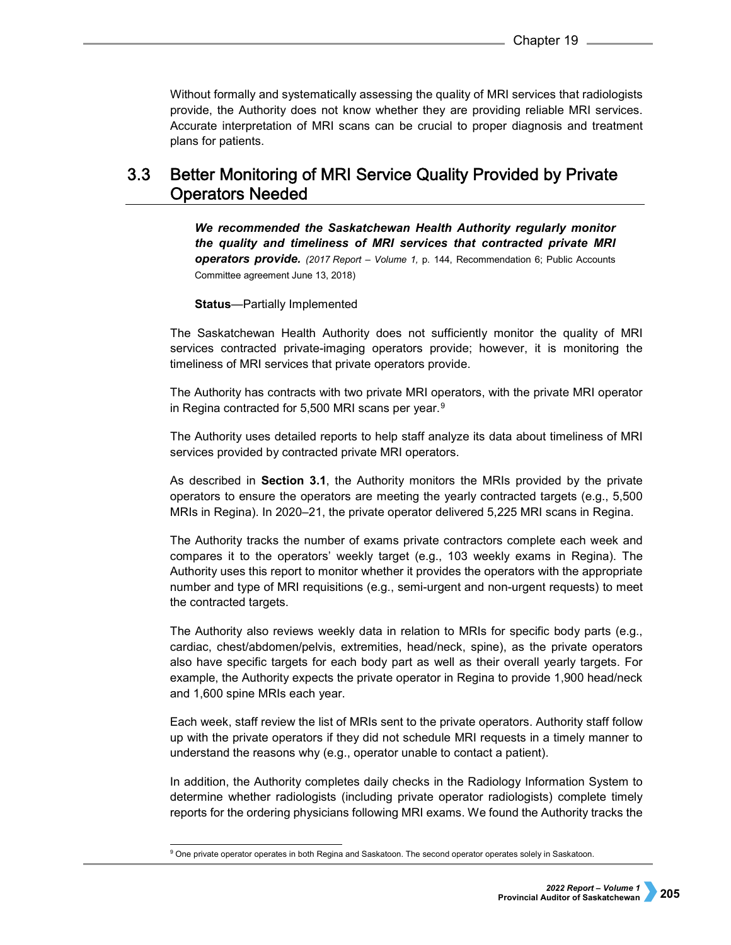Without formally and systematically assessing the quality of MRI services that radiologists provide, the Authority does not know whether they are providing reliable MRI services. Accurate interpretation of MRI scans can be crucial to proper diagnosis and treatment plans for patients.

### $3.3$ Better Monitoring of MRI Service Quality Provided by Private **Operators Needed**

*We recommended the Saskatchewan Health Authority regularly monitor the quality and timeliness of MRI services that contracted private MRI operators provide. (2017 Report – Volume 1,* p. 144, Recommendation 6; Public Accounts Committee agreement June 13, 2018)

**Status***—*Partially Implemented

The Saskatchewan Health Authority does not sufficiently monitor the quality of MRI services contracted private-imaging operators provide; however, it is monitoring the timeliness of MRI services that private operators provide.

The Authority has contracts with two private MRI operators, with the private MRI operator in Regina contracted for 5,500 MRI scans per year.<sup>[9](#page-4-0)</sup>

The Authority uses detailed reports to help staff analyze its data about timeliness of MRI services provided by contracted private MRI operators.

As described in **Section 3.1**, the Authority monitors the MRIs provided by the private operators to ensure the operators are meeting the yearly contracted targets (e.g., 5,500 MRIs in Regina). In 2020–21, the private operator delivered 5,225 MRI scans in Regina.

The Authority tracks the number of exams private contractors complete each week and compares it to the operators' weekly target (e.g., 103 weekly exams in Regina). The Authority uses this report to monitor whether it provides the operators with the appropriate number and type of MRI requisitions (e.g., semi-urgent and non-urgent requests) to meet the contracted targets.

The Authority also reviews weekly data in relation to MRIs for specific body parts (e.g., cardiac, chest/abdomen/pelvis, extremities, head/neck, spine), as the private operators also have specific targets for each body part as well as their overall yearly targets. For example, the Authority expects the private operator in Regina to provide 1,900 head/neck and 1,600 spine MRIs each year.

Each week, staff review the list of MRIs sent to the private operators. Authority staff follow up with the private operators if they did not schedule MRI requests in a timely manner to understand the reasons why (e.g., operator unable to contact a patient).

In addition, the Authority completes daily checks in the Radiology Information System to determine whether radiologists (including private operator radiologists) complete timely reports for the ordering physicians following MRI exams. We found the Authority tracks the

-

<span id="page-4-0"></span><sup>&</sup>lt;sup>9</sup> One private operator operates in both Regina and Saskatoon. The second operator operates solely in Saskatoon.